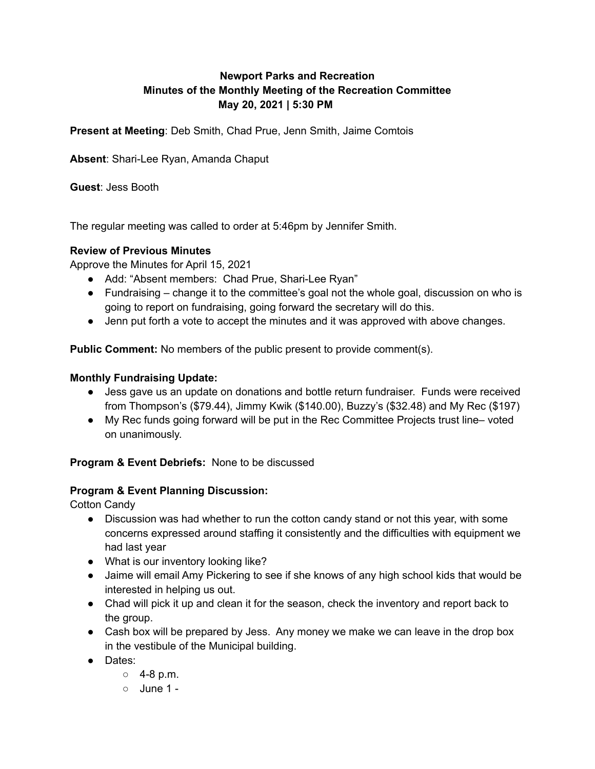# **Newport Parks and Recreation Minutes of the Monthly Meeting of the Recreation Committee May 20, 2021 | 5:30 PM**

**Present at Meeting**: Deb Smith, Chad Prue, Jenn Smith, Jaime Comtois

**Absent**: Shari-Lee Ryan, Amanda Chaput

**Guest**: Jess Booth

The regular meeting was called to order at 5:46pm by Jennifer Smith.

### **Review of Previous Minutes**

Approve the Minutes for April 15, 2021

- Add: "Absent members: Chad Prue, Shari-Lee Ryan"
- Fundraising change it to the committee's goal not the whole goal, discussion on who is going to report on fundraising, going forward the secretary will do this.
- Jenn put forth a vote to accept the minutes and it was approved with above changes.

**Public Comment:** No members of the public present to provide comment(s).

### **Monthly Fundraising Update:**

- Jess gave us an update on donations and bottle return fundraiser. Funds were received from Thompson's (\$79.44), Jimmy Kwik (\$140.00), Buzzy's (\$32.48) and My Rec (\$197)
- My Rec funds going forward will be put in the Rec Committee Projects trust line– voted on unanimously.

## **Program & Event Debriefs:** None to be discussed

### **Program & Event Planning Discussion:**

Cotton Candy

- Discussion was had whether to run the cotton candy stand or not this year, with some concerns expressed around staffing it consistently and the difficulties with equipment we had last year
- What is our inventory looking like?
- Jaime will email Amy Pickering to see if she knows of any high school kids that would be interested in helping us out.
- Chad will pick it up and clean it for the season, check the inventory and report back to the group.
- Cash box will be prepared by Jess. Any money we make we can leave in the drop box in the vestibule of the Municipal building.
- Dates:
	- $0.4 8$  p.m.
	- June 1 -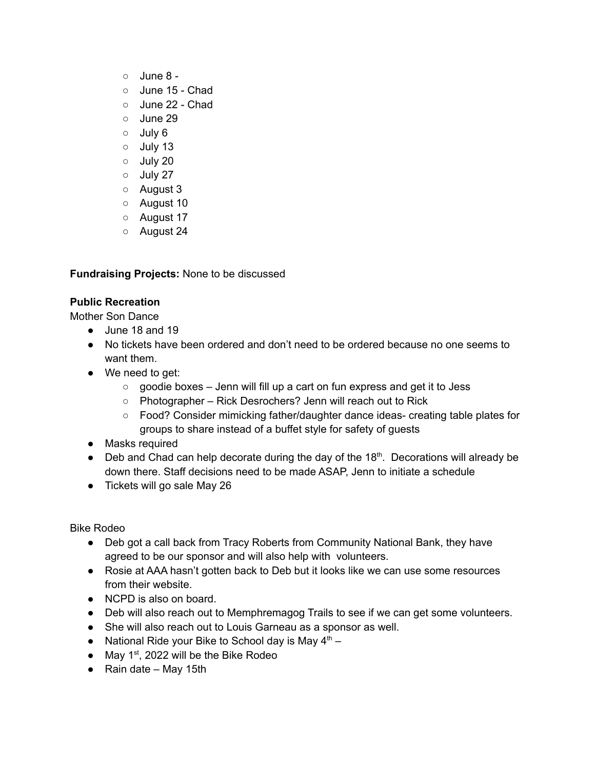- $\circ$  June 8 -
- June 15 Chad
- June 22 Chad
- June 29
- July 6
- July 13
- July 20
- July 27
- August 3
- August 10
- August 17
- August 24

**Fundraising Projects:** None to be discussed

## **Public Recreation**

Mother Son Dance

- $\bullet$  June 18 and 19
- No tickets have been ordered and don't need to be ordered because no one seems to want them.
- We need to get:
	- goodie boxes Jenn will fill up a cart on fun express and get it to Jess
	- Photographer Rick Desrochers? Jenn will reach out to Rick
	- Food? Consider mimicking father/daughter dance ideas- creating table plates for groups to share instead of a buffet style for safety of guests
- Masks required
- $\bullet$  Deb and Chad can help decorate during the day of the 18<sup>th</sup>. Decorations will already be down there. Staff decisions need to be made ASAP, Jenn to initiate a schedule
- Tickets will go sale May 26

Bike Rodeo

- Deb got a call back from Tracy Roberts from Community National Bank, they have agreed to be our sponsor and will also help with volunteers.
- Rosie at AAA hasn't gotten back to Deb but it looks like we can use some resources from their website.
- NCPD is also on board.
- Deb will also reach out to Memphremagog Trails to see if we can get some volunteers.
- She will also reach out to Louis Garneau as a sponsor as well.
- National Ride your Bike to School day is May  $4<sup>th</sup>$  –
- May  $1^{st}$ , 2022 will be the Bike Rodeo
- $\bullet$  Rain date May 15th